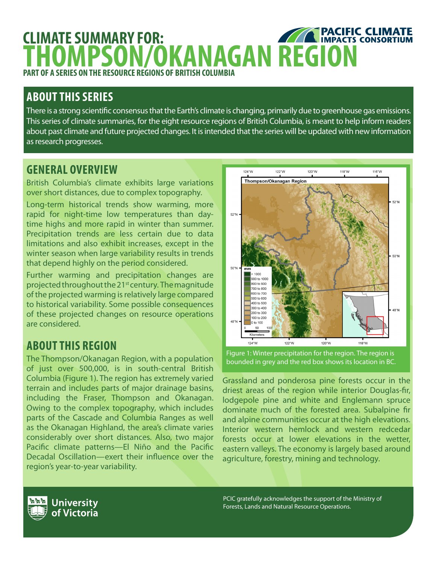## **PACIFIC CLIMATE CLIMATE SUMMARY FOR: THOMPSON/OKANAGAN REGION PART OF A SERIES ON THE RESOURCE REGIONS OF BRITISH COLUMBIA**

# **ABOUT THIS SERIES**

There is a strong scientific consensus that the Earth's climate is changing, primarily due to greenhouse gas emissions. This series of climate summaries, for the eight resource regions of British Columbia, is meant to help inform readers about past climate and future projected changes. It is intended that the series will be updated with new information as research progresses.

## **GENERAL OVERVIEW**

British Columbia's climate exhibits large variations over short distances, due to complex topography.

Long-term historical trends show warming, more rapid for night-time low temperatures than daytime highs and more rapid in winter than summer. Precipitation trends are less certain due to data limitations and also exhibit increases, except in the winter season when large variability results in trends that depend highly on the period considered.

Further warming and precipitation changes are projected throughout the 21<sup>st</sup> century. The magnitude of the projected warming is relatively large compared to historical variability. Some possible consequences of these projected changes on resource operations are considered.

# **ABOUT THIS REGION**

The Thompson/Okanagan Region, with a population of just over 500,000, is in south-central British Columbia (Figure 1). The region has extremely varied terrain and includes parts of major drainage basins, including the Fraser, Thompson and Okanagan. Owing to the complex topography, which includes parts of the Cascade and Columbia Ranges as well as the Okanagan Highland, the area's climate varies considerably over short distances. Also, two major Pacific climate patterns—El Niño and the Pacific Decadal Oscillation—exert their influence over the region's year-to-year variability.



Figure 1: Winter precipitation for the region. The region is bounded in grey and the red box shows its location in BC.

Grassland and ponderosa pine forests occur in the driest areas of the region while interior Douglas-fir, lodgepole pine and white and Englemann spruce dominate much of the forested area. Subalpine fir and alpine communities occur at the high elevations. Interior western hemlock and western redcedar forests occur at lower elevations in the wetter, eastern valleys. The economy is largely based around agriculture, forestry, mining and technology.

PCIC gratefully acknowledges the support of the Ministry of Forests, Lands and Natural Resource Operations.

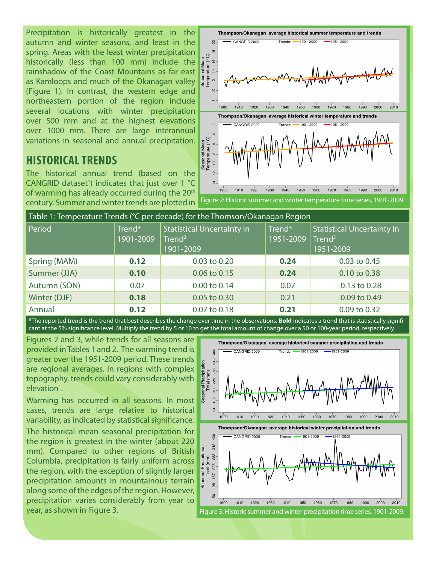Precipitation is historically greatest in the autumn and winter seasons, and least in the spring. Areas with the least winter precipitation historically (less than 100 mm) include the rainshadow of the Coast Mountains as far east as Kamloops and much of the Okanagan valley (Figure 1). In contrast, the western edge and northeastern portion of the region include several locations with winter precipitation over 500 mm and at the highest elevations over 1000 mm. There are large interannual variations in seasonal and annual precipitation.

#### $\tilde{a}$  $-CANGBID 2009$  $T$ rends:  $\blacksquare$  $-1901 - 2009$  $\frac{\infty}{2}$ Seasonal Mean<br>Temperature (°C)  $\frac{6}{1}$  $\frac{4}{4}$ ่อ  $\subseteq$ 2010 1900 1910 1920 1930 1940 1950 1980 1990 2000 1960 1970 Thompson/Okanagan average historical winter temperature and trends CANGRID 2009  $-1901 - 2009$ Trande:  $-1951 - 2009$ Seasonal Mean<br>Temperature (°C) စု  $-10$  $\frac{1}{2}$  $1910$  $1920$ 1930 1940 1950 1960 1970 1980 1990 1900 2000 2010

Thompson/Okanagan average historical summer temperature and trends

## **HISTORICAL TRENDS**

The historical annual trend (based on the CANGRID dataset<sup>1</sup>) indicates that just over 1  $°C$ of warming has already occurred during the 20<sup>th</sup> century. Summer and winter trends are plotted in



| Table 1: Temperature Trends (°C per decade) for the Thomson/Okanagan Region |                     |                                                                      |                     |                                                                      |  |  |  |
|-----------------------------------------------------------------------------|---------------------|----------------------------------------------------------------------|---------------------|----------------------------------------------------------------------|--|--|--|
| Period                                                                      | Trend*<br>1901-2009 | <b>Statistical Uncertainty in</b><br>Trend <sup>3</sup><br>1901-2009 | Trend*<br>1951-2009 | <b>Statistical Uncertainty in</b><br>Trend <sup>3</sup><br>1951-2009 |  |  |  |
| Spring (MAM)                                                                | 0.12                | 0.03 to 0.20                                                         | 0.24                | 0.03 to 0.45                                                         |  |  |  |
| Summer (JJA)                                                                | 0.10                | 0.06 to 0.15                                                         | 0.24                | 0.10 to 0.38                                                         |  |  |  |
| Autumn (SON)                                                                | 0.07                | 0.00 to 0.14                                                         | 0.07                | $-0.13$ to $0.28$                                                    |  |  |  |
| Winter (DJF)                                                                | 0.18                | 0.05 to 0.30                                                         | 0.21                | $-0.09$ to $0.49$                                                    |  |  |  |
| Annual                                                                      | 0.12                | 0.07 to 0.18                                                         | 0.21                | 0.09 to 0.32                                                         |  |  |  |

\*The reported trend is the trend that best describes the change over time in the observations. **Bold** indicates a trend that is statistically significant at the 5% significance level. Multiply the trend by 5 or 10 to get the total amount of change over a 50 or 100-year period, respectively.

Figures 2 and 3, while trends for all seasons are provided in Tables 1 and 2. The warming trend is greater over the 1951-2009 period. These trends are regional averages. In regions with complex topography, trends could vary considerably with elevation<sup>1</sup>.

Warming has occurred in all seasons. In most cases, trends are large relative to historical variability, as indicated by statistical significance. The historical mean seasonal precipitation for

the region is greatest in the winter (about 220 mm). Compared to other regions of British Columbia, precipitation is fairly uniform across the region, with the exception of slightly larger precipitation amounts in mountainous terrain along some of the edges of the region. However, precipitation varies considerably from year to

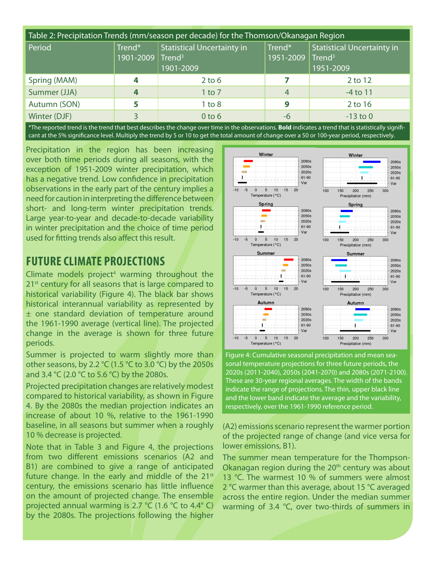| Table 2: Precipitation Trends (mm/season per decade) for the Thomson/Okanagan Region |                                        |                                                |                     |                                                                      |  |  |  |
|--------------------------------------------------------------------------------------|----------------------------------------|------------------------------------------------|---------------------|----------------------------------------------------------------------|--|--|--|
| Period                                                                               | Trend*<br>1901-2009 Trend <sup>3</sup> | <b>Statistical Uncertainty in</b><br>1901-2009 | Trend*<br>1951-2009 | <b>Statistical Uncertainty in</b><br>Trend <sup>3</sup><br>1951-2009 |  |  |  |
| Spring (MAM)                                                                         |                                        | $2$ to 6                                       |                     | 2 to 12                                                              |  |  |  |
| Summer (JJA)                                                                         |                                        | $1$ to $7$                                     | $\overline{4}$      | $-4$ to 11                                                           |  |  |  |
| Autumn (SON)                                                                         |                                        | $1$ to $8$                                     | 9                   | 2 to 16                                                              |  |  |  |
| Winter (DJF)                                                                         |                                        | $0$ to $6$                                     | -6                  | $-13$ to 0                                                           |  |  |  |

\*The reported trend is the trend that best describes the change over time in the observations. **Bold** indicates a trend that is statistically significant at the 5% significance level. Multiply the trend by 5 or 10 to get the total amount of change over a 50 or 100-year period, respectively.

Precipitation in the region has been increasing over both time periods during all seasons, with the exception of 1951-2009 winter precipitation, which has a negative trend. Low confidence in precipitation observations in the early part of the century implies a need for caution in interpreting the difference between short- and long-term winter precipitation trends. Large year-to-year and decade-to-decade variability in winter precipitation and the choice of time period used for fitting trends also affect this result.

### **FUTURE CLIMATE PROJECTIONS**

Climate models project<sup>4</sup> warming throughout the 21<sup>st</sup> century for all seasons that is large compared to historical variability (Figure 4). The black bar shows historical interannual variability as represented by ± one standard deviation of temperature around the 1961-1990 average (vertical line). The projected change in the average is shown for three future periods.

Summer is projected to warm slightly more than other seasons, by 2.2  $°C$  (1.5  $°C$  to 3.0  $°C$ ) by the 2050s and 3.4 °C (2.0 °C to 5.6 °C) by the 2080s.

Projected precipitation changes are relatively modest compared to historical variability, as shown in Figure 4. By the 2080s the median projection indicates an increase of about 10 %, relative to the 1961-1990 baseline, in all seasons but summer when a roughly 10 % decrease is projected.

Note that in Table 3 and Figure 4, the projections from two different emissions scenarios (A2 and B1) are combined to give a range of anticipated future change. In the early and middle of the  $21^{st}$ century, the emissions scenario has little influence on the amount of projected change. The ensemble projected annual warming is 2.7 °C (1.6 °C to 4.4° C) by the 2080s. The projections following the higher



Figure 4: Cumulative seasonal precipitation and mean seasonal temperature projections for three future periods, the 2020s (2011-2040), 2050s (2041-2070) and 2080s (2071-2100). These are 30-year regional averages. The width of the bands indicate the range of projections. The thin, upper black line and the lower band indicate the average and the variability, respectively, over the 1961-1990 reference period.

(A2) emissions scenario represent the warmer portion of the projected range of change (and vice versa for lower emissions, B1).

The summer mean temperature for the Thompson-Okanagan region during the  $20<sup>th</sup>$  century was about 13 °C. The warmest 10 % of summers were almost 2 °C warmer than this average, about 15 °C averaged across the entire region. Under the median summer warming of 3.4 °C, over two-thirds of summers in